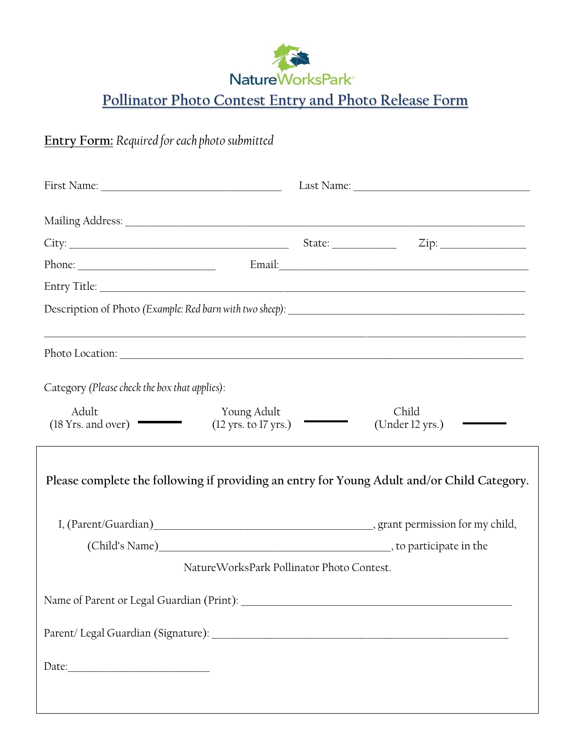

**Pollinator Photo Contest Entry and Photo Release Form**

## **Entry Form:** *Required for each photo submitted*

| Photo Location: experience of the contract of the contract of the contract of the contract of the contract of the contract of the contract of the contract of the contract of the contract of the contract of the contract of |                          |  |  |
|-------------------------------------------------------------------------------------------------------------------------------------------------------------------------------------------------------------------------------|--------------------------|--|--|
| Category (Please check the box that applies):                                                                                                                                                                                 |                          |  |  |
| Adult<br>Young Adult<br>(18 Yrs. and over)<br>$(12 \text{ yrs. to } 17 \text{ yrs.})$                                                                                                                                         | Child<br>(Under 12 yrs.) |  |  |
| Please complete the following if providing an entry for Young Adult and/or Child Category.                                                                                                                                    |                          |  |  |
|                                                                                                                                                                                                                               |                          |  |  |
|                                                                                                                                                                                                                               |                          |  |  |
| NatureWorksPark Pollinator Photo Contest.                                                                                                                                                                                     |                          |  |  |
| Name of Parent or Legal Guardian (Print): _____                                                                                                                                                                               |                          |  |  |
|                                                                                                                                                                                                                               |                          |  |  |
|                                                                                                                                                                                                                               |                          |  |  |
|                                                                                                                                                                                                                               |                          |  |  |